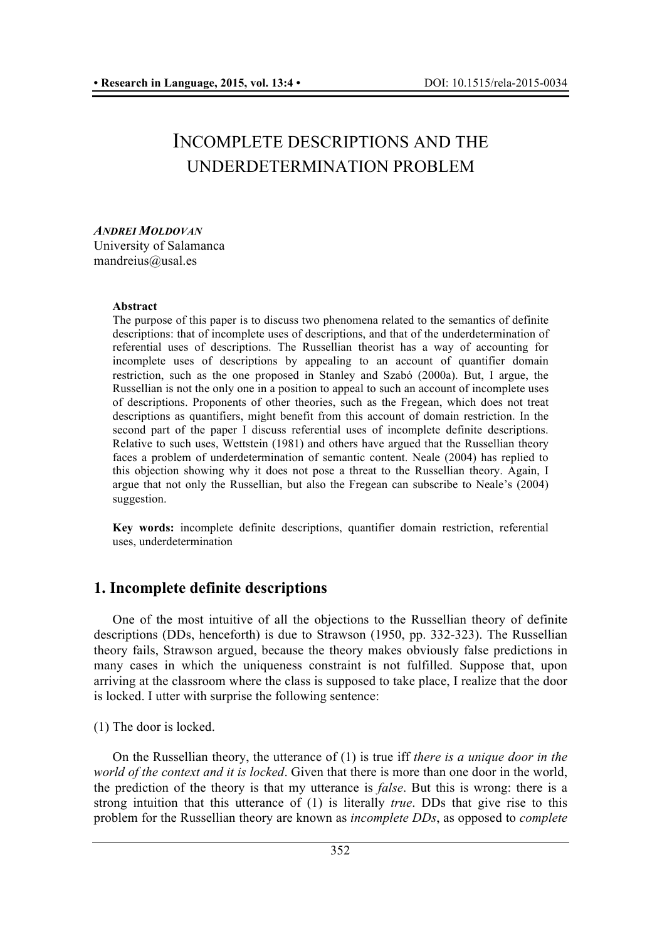# INCOMPLETE DESCRIPTIONS AND THE UNDERDETERMINATION PROBLEM

#### *ANDREI MOLDOVAN* University of Salamanca mandreius@usal.es

#### **Abstract**

The purpose of this paper is to discuss two phenomena related to the semantics of definite descriptions: that of incomplete uses of descriptions, and that of the underdetermination of referential uses of descriptions. The Russellian theorist has a way of accounting for incomplete uses of descriptions by appealing to an account of quantifier domain restriction, such as the one proposed in Stanley and Szabó (2000a). But, I argue, the Russellian is not the only one in a position to appeal to such an account of incomplete uses of descriptions. Proponents of other theories, such as the Fregean, which does not treat descriptions as quantifiers, might benefit from this account of domain restriction. In the second part of the paper I discuss referential uses of incomplete definite descriptions. Relative to such uses, Wettstein (1981) and others have argued that the Russellian theory faces a problem of underdetermination of semantic content. Neale (2004) has replied to this objection showing why it does not pose a threat to the Russellian theory. Again, I argue that not only the Russellian, but also the Fregean can subscribe to Neale's (2004) suggestion.

**Key words:** incomplete definite descriptions, quantifier domain restriction, referential uses, underdetermination

# **1. Incomplete definite descriptions**

One of the most intuitive of all the objections to the Russellian theory of definite descriptions (DDs, henceforth) is due to Strawson (1950, pp. 332-323). The Russellian theory fails, Strawson argued, because the theory makes obviously false predictions in many cases in which the uniqueness constraint is not fulfilled. Suppose that, upon arriving at the classroom where the class is supposed to take place, I realize that the door is locked. I utter with surprise the following sentence:

(1) The door is locked.

On the Russellian theory, the utterance of (1) is true iff *there is a unique door in the world of the context and it is locked*. Given that there is more than one door in the world, the prediction of the theory is that my utterance is *false*. But this is wrong: there is a strong intuition that this utterance of (1) is literally *true*. DDs that give rise to this problem for the Russellian theory are known as *incomplete DDs*, as opposed to *complete*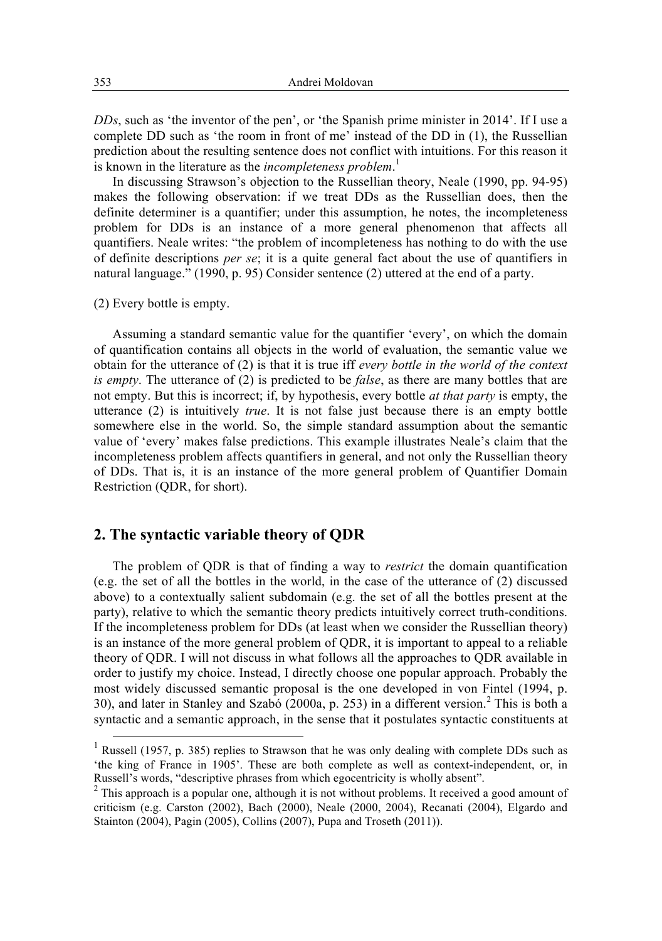*DDs*, such as 'the inventor of the pen', or 'the Spanish prime minister in 2014'. If I use a complete DD such as 'the room in front of me' instead of the DD in (1), the Russellian prediction about the resulting sentence does not conflict with intuitions. For this reason it is known in the literature as the *incompleteness problem*. 1

In discussing Strawson's objection to the Russellian theory, Neale (1990, pp. 94-95) makes the following observation: if we treat DDs as the Russellian does, then the definite determiner is a quantifier; under this assumption, he notes, the incompleteness problem for DDs is an instance of a more general phenomenon that affects all quantifiers. Neale writes: "the problem of incompleteness has nothing to do with the use of definite descriptions *per se*; it is a quite general fact about the use of quantifiers in natural language." (1990, p. 95) Consider sentence (2) uttered at the end of a party.

(2) Every bottle is empty.

Assuming a standard semantic value for the quantifier 'every', on which the domain of quantification contains all objects in the world of evaluation, the semantic value we obtain for the utterance of (2) is that it is true iff *every bottle in the world of the context is empty*. The utterance of (2) is predicted to be *false*, as there are many bottles that are not empty. But this is incorrect; if, by hypothesis, every bottle *at that party* is empty, the utterance (2) is intuitively *true*. It is not false just because there is an empty bottle somewhere else in the world. So, the simple standard assumption about the semantic value of 'every' makes false predictions. This example illustrates Neale's claim that the incompleteness problem affects quantifiers in general, and not only the Russellian theory of DDs. That is, it is an instance of the more general problem of Quantifier Domain Restriction (QDR, for short).

## **2. The syntactic variable theory of QDR**

The problem of QDR is that of finding a way to *restrict* the domain quantification (e.g. the set of all the bottles in the world, in the case of the utterance of (2) discussed above) to a contextually salient subdomain (e.g. the set of all the bottles present at the party), relative to which the semantic theory predicts intuitively correct truth-conditions. If the incompleteness problem for DDs (at least when we consider the Russellian theory) is an instance of the more general problem of QDR, it is important to appeal to a reliable theory of QDR. I will not discuss in what follows all the approaches to QDR available in order to justify my choice. Instead, I directly choose one popular approach. Probably the most widely discussed semantic proposal is the one developed in von Fintel (1994, p. 30), and later in Stanley and Szabó (2000a, p. 253) in a different version.<sup>2</sup> This is both a syntactic and a semantic approach, in the sense that it postulates syntactic constituents at

 $1$  Russell (1957, p. 385) replies to Strawson that he was only dealing with complete DDs such as 'the king of France in 1905'. These are both complete as well as context-independent, or, in

 $2$  This approach is a popular one, although it is not without problems. It received a good amount of criticism (e.g. Carston (2002), Bach (2000), Neale (2000, 2004), Recanati (2004), Elgardo and Stainton (2004), Pagin (2005), Collins (2007), Pupa and Troseth (2011)).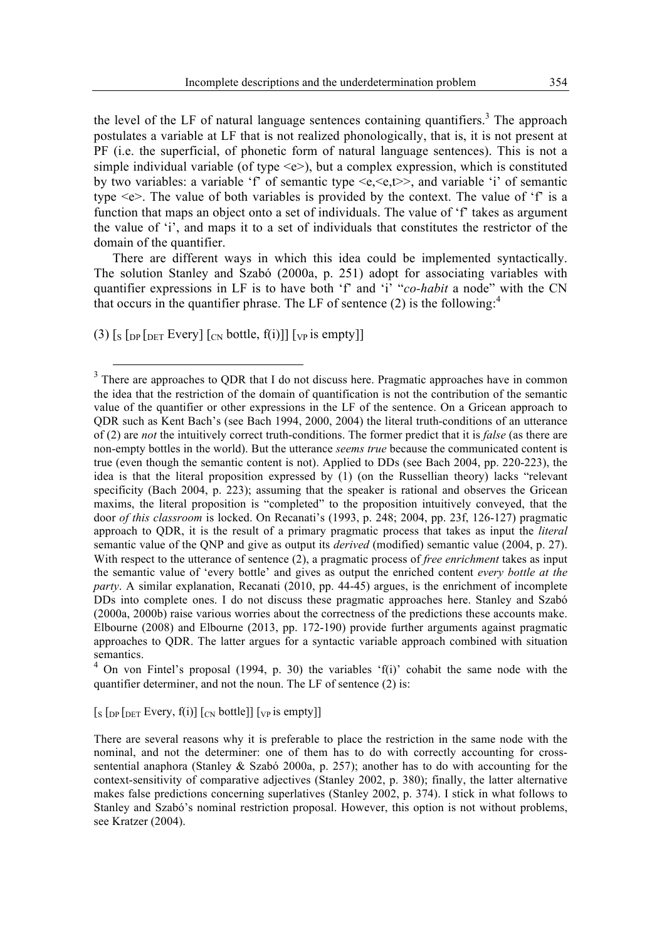the level of the LF of natural language sentences containing quantifiers.<sup>3</sup> The approach postulates a variable at LF that is not realized phonologically, that is, it is not present at PF (i.e. the superficial, of phonetic form of natural language sentences). This is not a simple individual variable (of type  $\leq e$ ), but a complex expression, which is constituted by two variables: a variable 'f' of semantic type  $\langle e, \langle e, t \rangle$ , and variable 'i' of semantic type <e>. The value of both variables is provided by the context. The value of 'f' is a function that maps an object onto a set of individuals. The value of 'f' takes as argument the value of 'i', and maps it to a set of individuals that constitutes the restrictor of the domain of the quantifier.

There are different ways in which this idea could be implemented syntactically. The solution Stanley and Szabó (2000a, p. 251) adopt for associating variables with quantifier expressions in LF is to have both 'f' and 'i' "*co-habit* a node" with the CN that occurs in the quantifier phrase. The LF of sentence  $(2)$  is the following:<sup>4</sup>

(3)  $\lceil s \rceil_{\text{DP}}$  [Deta Every]  $\lceil_{\text{CN}}$  bottle,  $f(i)$ ]]  $\lceil_{\text{VP}}$  is empty]]

 $4$  On von Fintel's proposal (1994, p. 30) the variables  $f(i)$  cohabit the same node with the quantifier determiner, and not the noun. The LF of sentence (2) is:

 $\left[\frac{1}{\sqrt{2}}\right]$  [Deta Every, f(i)]  $\left[\frac{1}{\sqrt{2}}\right]$  [UV is empty]]

<sup>&</sup>lt;sup>3</sup> There are approaches to QDR that I do not discuss here. Pragmatic approaches have in common the idea that the restriction of the domain of quantification is not the contribution of the semantic value of the quantifier or other expressions in the LF of the sentence. On a Gricean approach to QDR such as Kent Bach's (see Bach 1994, 2000, 2004) the literal truth-conditions of an utterance of (2) are *not* the intuitively correct truth-conditions. The former predict that it is *false* (as there are non-empty bottles in the world). But the utterance *seems true* because the communicated content is true (even though the semantic content is not). Applied to DDs (see Bach 2004, pp. 220-223), the idea is that the literal proposition expressed by (1) (on the Russellian theory) lacks "relevant specificity (Bach 2004, p. 223); assuming that the speaker is rational and observes the Gricean maxims, the literal proposition is "completed" to the proposition intuitively conveyed, that the door *of this classroom* is locked. On Recanati's (1993, p. 248; 2004, pp. 23f, 126-127) pragmatic approach to QDR, it is the result of a primary pragmatic process that takes as input the *literal* semantic value of the QNP and give as output its *derived* (modified) semantic value (2004, p. 27). With respect to the utterance of sentence (2), a pragmatic process of *free enrichment* takes as input the semantic value of 'every bottle' and gives as output the enriched content *every bottle at the party*. A similar explanation, Recanati (2010, pp. 44-45) argues, is the enrichment of incomplete DDs into complete ones. I do not discuss these pragmatic approaches here. Stanley and Szabó (2000a, 2000b) raise various worries about the correctness of the predictions these accounts make. Elbourne (2008) and Elbourne (2013, pp. 172-190) provide further arguments against pragmatic approaches to QDR. The latter argues for a syntactic variable approach combined with situation semantics.

There are several reasons why it is preferable to place the restriction in the same node with the nominal, and not the determiner: one of them has to do with correctly accounting for crosssentential anaphora (Stanley & Szabó 2000a, p. 257); another has to do with accounting for the context-sensitivity of comparative adjectives (Stanley 2002, p. 380); finally, the latter alternative makes false predictions concerning superlatives (Stanley 2002, p. 374). I stick in what follows to Stanley and Szabó's nominal restriction proposal. However, this option is not without problems, see Kratzer (2004).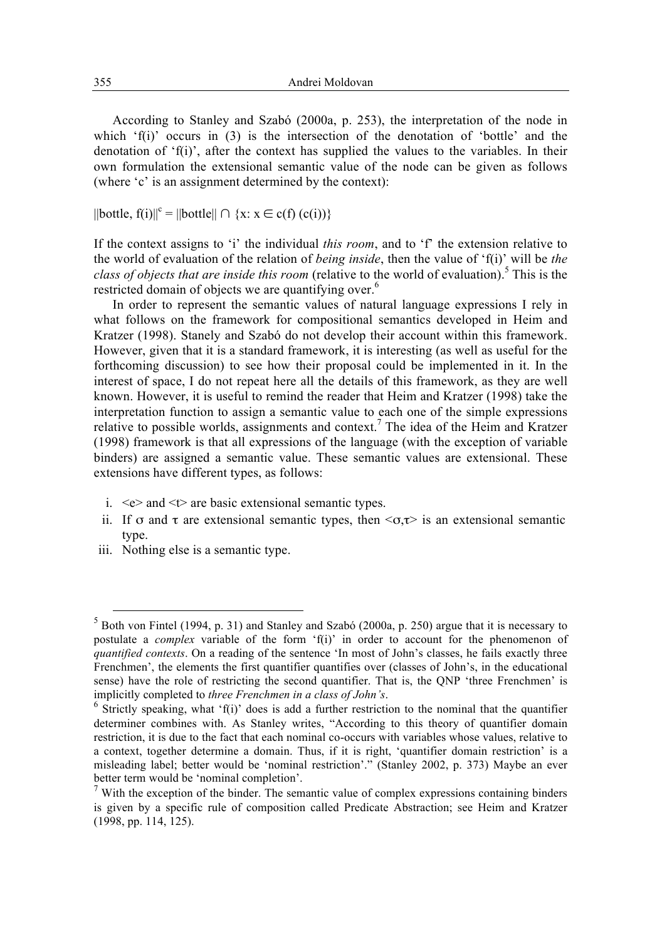According to Stanley and Szabó (2000a, p. 253), the interpretation of the node in which 'f(i)' occurs in (3) is the intersection of the denotation of 'bottle' and the denotation of 'f(i)', after the context has supplied the values to the variables. In their own formulation the extensional semantic value of the node can be given as follows (where 'c' is an assignment determined by the context):

 $||$ bottle, f(i) $||^c = ||$ bottle $|| \cap \{x : x \in c(f) (c(i))\}\$ 

If the context assigns to 'i' the individual *this room*, and to 'f' the extension relative to the world of evaluation of the relation of *being inside*, then the value of 'f(i)' will be *the class of objects that are inside this room* (relative to the world of evaluation).<sup>5</sup> This is the restricted domain of objects we are quantifying over.<sup>6</sup>

In order to represent the semantic values of natural language expressions I rely in what follows on the framework for compositional semantics developed in Heim and Kratzer (1998). Stanely and Szabó do not develop their account within this framework. However, given that it is a standard framework, it is interesting (as well as useful for the forthcoming discussion) to see how their proposal could be implemented in it. In the interest of space, I do not repeat here all the details of this framework, as they are well known. However, it is useful to remind the reader that Heim and Kratzer (1998) take the interpretation function to assign a semantic value to each one of the simple expressions relative to possible worlds, assignments and context.7 The idea of the Heim and Kratzer (1998) framework is that all expressions of the language (with the exception of variable binders) are assigned a semantic value. These semantic values are extensional. These extensions have different types, as follows:

- i.  $\leq e$  and  $\leq \geq$  are basic extensional semantic types.
- ii. If  $\sigma$  and  $\tau$  are extensional semantic types, then  $\langle \sigma, \tau \rangle$  is an extensional semantic type.
- iii. Nothing else is a semantic type.

 <sup>5</sup> Both von Fintel (1994, p. 31) and Stanley and Szabó (2000a, p. 250) argue that it is necessary to postulate a *complex* variable of the form 'f(i)' in order to account for the phenomenon of *quantified contexts*. On a reading of the sentence 'In most of John's classes, he fails exactly three Frenchmen', the elements the first quantifier quantifies over (classes of John's, in the educational sense) have the role of restricting the second quantifier. That is, the QNP 'three Frenchmen' is implicitly completed to *three Frenchmen in a class of John's*.<br><sup>6</sup> Strictly speaking, what 'f(i)' does is add a further restriction to the nominal that the quantifier

determiner combines with. As Stanley writes, "According to this theory of quantifier domain restriction, it is due to the fact that each nominal co-occurs with variables whose values, relative to a context, together determine a domain. Thus, if it is right, 'quantifier domain restriction' is a misleading label; better would be 'nominal restriction'." (Stanley 2002, p. 373) Maybe an ever better term would be 'nominal completion'.

 $<sup>7</sup>$  With the exception of the binder. The semantic value of complex expressions containing binders</sup> is given by a specific rule of composition called Predicate Abstraction; see Heim and Kratzer (1998, pp. 114, 125).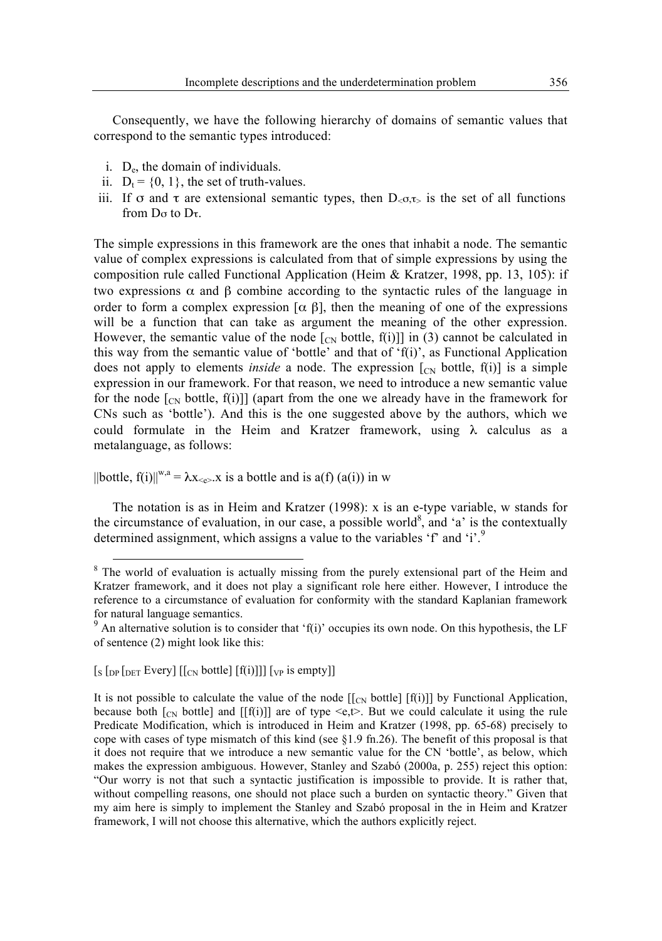Consequently, we have the following hierarchy of domains of semantic values that correspond to the semantic types introduced:

- i.  $D_e$ , the domain of individuals.
- ii.  $D_t = \{0, 1\}$ , the set of truth-values.
- iii. If  $\sigma$  and  $\tau$  are extensional semantic types, then  $D_{\leq \sigma,\tau>}$  is the set of all functions from Dσ to Dτ.

The simple expressions in this framework are the ones that inhabit a node. The semantic value of complex expressions is calculated from that of simple expressions by using the composition rule called Functional Application (Heim & Kratzer, 1998, pp. 13, 105): if two expressions  $\alpha$  and  $\beta$  combine according to the syntactic rules of the language in order to form a complex expression  $\lceil \alpha \rceil$ , then the meaning of one of the expressions will be a function that can take as argument the meaning of the other expression. However, the semantic value of the node  $[\alpha_{N}]$  bottle,  $f(i)]$  in (3) cannot be calculated in this way from the semantic value of 'bottle' and that of 'f(i)', as Functional Application does not apply to elements *inside* a node. The expression  $[\text{C}_{N}]$  bottle,  $f(i)$  is a simple expression in our framework. For that reason, we need to introduce a new semantic value for the node  $\lceil_{CN}\right]$  (apart from the one we already have in the framework for CNs such as 'bottle'). And this is the one suggested above by the authors, which we could formulate in the Heim and Kratzer framework, using  $\lambda$  calculus as a metalanguage, as follows:

 $||$ bottle, f(i) $||^{w,a} = \lambda x_{\leq e}$ , x is a bottle and is a(f) (a(i)) in w

The notation is as in Heim and Kratzer (1998): x is an e-type variable, w stands for the circumstance of evaluation, in our case, a possible world<sup>8</sup>, and 'a' is the contextually determined assignment, which assigns a value to the variables 'f' and 'i'.<sup>9</sup>

 $[s \text{ [DP [DET Every] [[<sub>CN</sub> bottle] [f(i)]]][<sub>VP</sub> is empty]]$ 

It is not possible to calculate the value of the node  $\left[\frac{C_N}{C_N}\right]$  bottle  $\left[\frac{f(i)}{i}\right]$  by Functional Application, because both  $\lceil c_N \rceil$  bottle] and  $\lceil f(i) \rceil$  are of type  $\leq e, t$ . But we could calculate it using the rule Predicate Modification, which is introduced in Heim and Kratzer (1998, pp. 65-68) precisely to cope with cases of type mismatch of this kind (see  $\S1.9$  fn.26). The benefit of this proposal is that it does not require that we introduce a new semantic value for the CN 'bottle', as below, which makes the expression ambiguous. However, Stanley and Szabó (2000a, p. 255) reject this option: "Our worry is not that such a syntactic justification is impossible to provide. It is rather that, without compelling reasons, one should not place such a burden on syntactic theory." Given that my aim here is simply to implement the Stanley and Szabó proposal in the in Heim and Kratzer framework, I will not choose this alternative, which the authors explicitly reject.

<sup>&</sup>lt;sup>8</sup> The world of evaluation is actually missing from the purely extensional part of the Heim and Kratzer framework, and it does not play a significant role here either. However, I introduce the reference to a circumstance of evaluation for conformity with the standard Kaplanian framework for natural language semantics.

 $9$  An alternative solution is to consider that 'f(i)' occupies its own node. On this hypothesis, the LF of sentence (2) might look like this: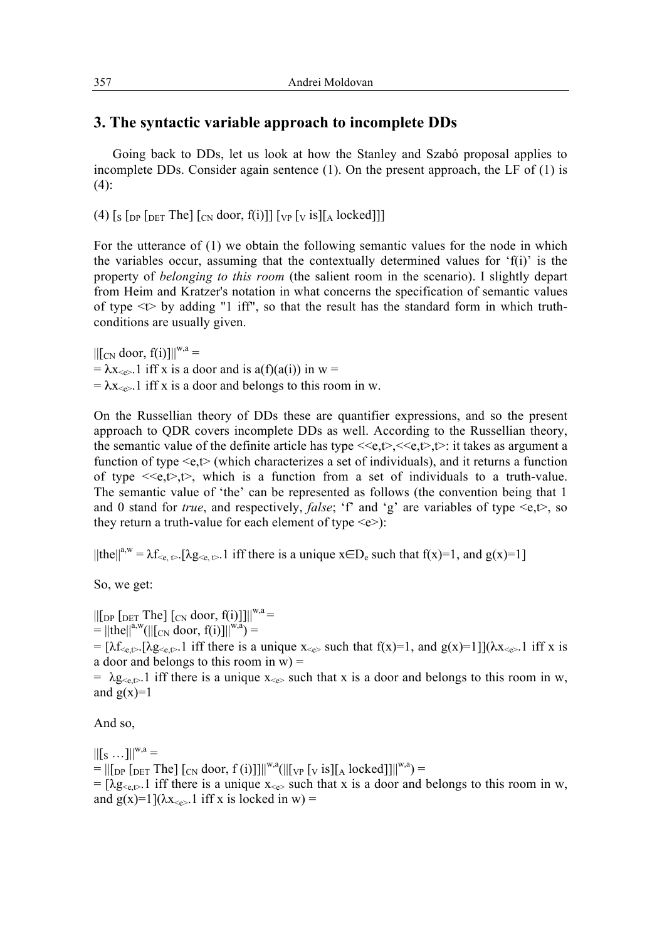## **3. The syntactic variable approach to incomplete DDs**

Going back to DDs, let us look at how the Stanley and Szabó proposal applies to incomplete DDs. Consider again sentence  $(1)$ . On the present approach, the LF of  $(1)$  is  $(4)$ :

(4)  $[s]$  [DP [DET The] [CN door, f(i)]] [VP [V is][A locked]]]

For the utterance of (1) we obtain the following semantic values for the node in which the variables occur, assuming that the contextually determined values for  $f(i)$  is the property of *belonging to this room* (the salient room in the scenario). I slightly depart from Heim and Kratzer's notation in what concerns the specification of semantic values of type  $\lt t$  by adding "1 iff", so that the result has the standard form in which truthconditions are usually given.

 $\left\| \left[ \begin{array}{cc} \text{C_N} & \text{door}, \\ \text{f(i)} \end{array} \right] \right\|^{w,a} =$ =  $\lambda$ x<sub><e></sub>.1 iff x is a door and is a(f)(a(i)) in w =  $= \lambda x_{\leq e}$ . 1 iff x is a door and belongs to this room in w.

On the Russellian theory of DDs these are quantifier expressions, and so the present approach to QDR covers incomplete DDs as well. According to the Russellian theory, the semantic value of the definite article has type  $\langle\langle e, t\rangle, \langle\langle e, t\rangle, t\rangle$ : it takes as argument a function of type  $\leq e, t$  (which characterizes a set of individuals), and it returns a function of type  $\langle e, t \rangle, t \rangle$ , which is a function from a set of individuals to a truth-value. The semantic value of 'the' can be represented as follows (the convention being that 1 and 0 stand for *true*, and respectively, *false*; 'f' and 'g' are variables of type  $\leq e, t$ , so they return a truth-value for each element of type  $\leq e$ ):

 $||\text{the}||^{a,w} = \lambda f_{\leqslant e, t>}$ . [ $\lambda g_{\leqslant e, t>}$ . 1 iff there is a unique  $x \in D_e$  such that  $f(x)=1$ , and  $g(x)=1$ ]

So, we get:

 $\left\| \left[ \int_{\text{DPI}} \int_{\text{DET}} \text{The} \right] \left[ \int_{\text{CN}} \text{door}, f(i) \right] \right\| \right\|^{w,a} =$  $=$   $||\text{the}||^{a,w}$ ( $||[C_N \text{ door}, f(i)]||^{w,a}$ ) =

=  $[\lambda f_{\leqslant e, \rhd}$ . [ $\lambda g_{\leqslant e, \rhd}$ . 1 iff there is a unique  $x_{\leqslant e}$  such that  $f(x)=1$ , and  $g(x)=1$ ] $(\lambda x_{\leqslant e}$ . 1 iff x is a door and belongs to this room in  $w$ ) =

=  $\lambda$ g<sub><e,t></sub>.1 iff there is a unique x<sub><e></sub> such that x is a door and belongs to this room in w, and  $g(x)=1$ 

And so,

 $||[s ...]||^{w,a} =$  $= ||[_{DP} [_{DET} The] [_{CN} door, f (i)]]||^{w,a} (||[_{VP} [_{V} is] [_{A} locked]]||^{w,a}) =$ 

=  $[\lambda g_{\leq \varepsilon, \varepsilon}]$  iff there is a unique  $x_{\leq \varepsilon}$  such that x is a door and belongs to this room in w, and  $g(x)=1$ ]( $\lambda x_{\leq e}$ ). 1 iff x is locked in w) =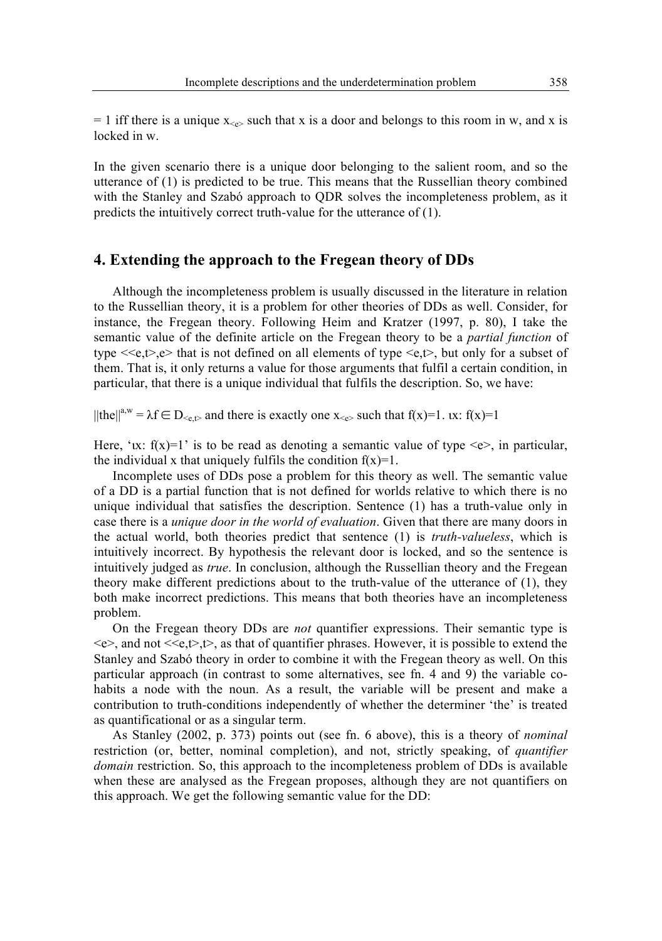$= 1$  iff there is a unique  $x \rightarrow$  such that x is a door and belongs to this room in w, and x is locked in w.

In the given scenario there is a unique door belonging to the salient room, and so the utterance of (1) is predicted to be true. This means that the Russellian theory combined with the Stanley and Szabó approach to QDR solves the incompleteness problem, as it predicts the intuitively correct truth-value for the utterance of (1).

### **4. Extending the approach to the Fregean theory of DDs**

Although the incompleteness problem is usually discussed in the literature in relation to the Russellian theory, it is a problem for other theories of DDs as well. Consider, for instance, the Fregean theory. Following Heim and Kratzer (1997, p. 80), I take the semantic value of the definite article on the Fregean theory to be a *partial function* of type  $\langle \langle e, t \rangle, e \rangle$  that is not defined on all elements of type  $\langle e, t \rangle$ , but only for a subset of them. That is, it only returns a value for those arguments that fulfil a certain condition, in particular, that there is a unique individual that fulfils the description. So, we have:

 $||\text{the}||^{a,w} = \lambda f \in D_{\leq c}$  and there is exactly one  $x_{\leq c}$  such that  $f(x)=1$ .  $\lambda x$ :  $f(x)=1$ 

Here, 'ux:  $f(x)=1$ ' is to be read as denoting a semantic value of type  $\langle e \rangle$ , in particular, the individual x that uniquely fulfils the condition  $f(x)=1$ .

Incomplete uses of DDs pose a problem for this theory as well. The semantic value of a DD is a partial function that is not defined for worlds relative to which there is no unique individual that satisfies the description. Sentence (1) has a truth-value only in case there is a *unique door in the world of evaluation*. Given that there are many doors in the actual world, both theories predict that sentence (1) is *truth-valueless*, which is intuitively incorrect. By hypothesis the relevant door is locked, and so the sentence is intuitively judged as *true*. In conclusion, although the Russellian theory and the Fregean theory make different predictions about to the truth-value of the utterance of (1), they both make incorrect predictions. This means that both theories have an incompleteness problem.

On the Fregean theory DDs are *not* quantifier expressions. Their semantic type is  $\langle e \rangle$ , and not  $\langle \langle e, t \rangle, t \rangle$ , as that of quantifier phrases. However, it is possible to extend the Stanley and Szabó theory in order to combine it with the Fregean theory as well. On this particular approach (in contrast to some alternatives, see fn. 4 and 9) the variable cohabits a node with the noun. As a result, the variable will be present and make a contribution to truth-conditions independently of whether the determiner 'the' is treated as quantificational or as a singular term.

As Stanley (2002, p. 373) points out (see fn. 6 above), this is a theory of *nominal* restriction (or, better, nominal completion), and not, strictly speaking, of *quantifier domain* restriction. So, this approach to the incompleteness problem of DDs is available when these are analysed as the Fregean proposes, although they are not quantifiers on this approach. We get the following semantic value for the DD: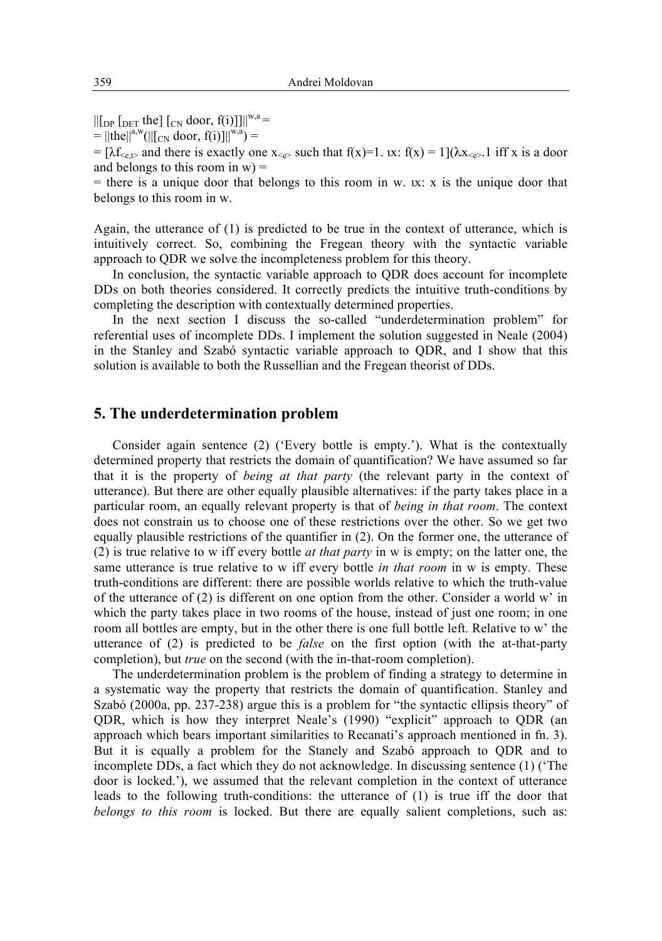$\left\| \left[ \int_{\text{D}} \rho \left[ \int_{\text{D}} \text{d} \rho \right] \right]_{\text{C}} \right\|_{\text{C}} \right\|_{\text{C}} \text{d} \rho \text{d} \rho$ , f(i)]] $\left\| \int_{\text{W}} u \right\|_{\text{C}} =$ 

 $=$   $||\text{the}||^{a,w}(||[\text{C}_{N} \text{ door}, f(i)]||^{w,a}) =$ 

=  $[\lambda f_{\leq e}$  and there is exactly one  $x_{\leq e}$  such that  $f(x)=1$ .  $(x; f(x) = 1](\lambda x_{\leq e}$ . 1 iff x is a door and belongs to this room in  $w$ ) =

 $=$  there is a unique door that belongs to this room in w.  $\alpha$ : x is the unique door that belongs to this room in w.

Again, the utterance of (1) is predicted to be true in the context of utterance, which is intuitively correct. So, combining the Fregean theory with the syntactic variable approach to QDR we solve the incompleteness problem for this theory.

In conclusion, the syntactic variable approach to QDR does account for incomplete DDs on both theories considered. It correctly predicts the intuitive truth-conditions by completing the description with contextually determined properties.

In the next section I discuss the so-called "underdetermination problem" for referential uses of incomplete DDs. I implement the solution suggested in Neale (2004) in the Stanley and Szabó syntactic variable approach to QDR, and I show that this solution is available to both the Russellian and the Fregean theorist of DDs.

### **5. The underdetermination problem**

Consider again sentence (2) ('Every bottle is empty.'). What is the contextually determined property that restricts the domain of quantification? We have assumed so far that it is the property of *being at that party* (the relevant party in the context of utterance). But there are other equally plausible alternatives: if the party takes place in a particular room, an equally relevant property is that of *being in that room*. The context does not constrain us to choose one of these restrictions over the other. So we get two equally plausible restrictions of the quantifier in (2). On the former one, the utterance of (2) is true relative to w iff every bottle *at that party* in w is empty; on the latter one, the same utterance is true relative to w iff every bottle *in that room* in w is empty. These truth-conditions are different: there are possible worlds relative to which the truth-value of the utterance of (2) is different on one option from the other. Consider a world w' in which the party takes place in two rooms of the house, instead of just one room; in one room all bottles are empty, but in the other there is one full bottle left. Relative to w' the utterance of (2) is predicted to be *false* on the first option (with the at-that-party completion), but *true* on the second (with the in-that-room completion).

The underdetermination problem is the problem of finding a strategy to determine in a systematic way the property that restricts the domain of quantification. Stanley and Szabó (2000a, pp. 237-238) argue this is a problem for "the syntactic ellipsis theory" of QDR, which is how they interpret Neale's (1990) "explicit" approach to QDR (an approach which bears important similarities to Recanati's approach mentioned in fn. 3). But it is equally a problem for the Stanely and Szabó approach to QDR and to incomplete DDs, a fact which they do not acknowledge. In discussing sentence (1) ('The door is locked.'), we assumed that the relevant completion in the context of utterance leads to the following truth-conditions: the utterance of (1) is true iff the door that *belongs to this room* is locked. But there are equally salient completions, such as: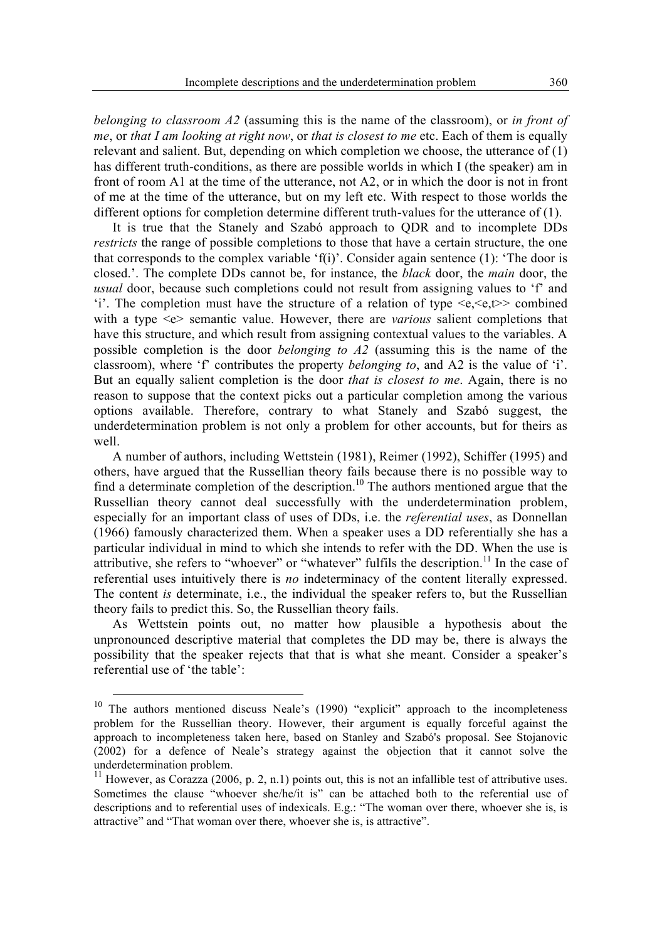*belonging to classroom A2* (assuming this is the name of the classroom), or *in front of me*, or *that I am looking at right now*, or *that is closest to me* etc. Each of them is equally relevant and salient. But, depending on which completion we choose, the utterance of (1) has different truth-conditions, as there are possible worlds in which I (the speaker) am in front of room A1 at the time of the utterance, not A2, or in which the door is not in front of me at the time of the utterance, but on my left etc. With respect to those worlds the different options for completion determine different truth-values for the utterance of (1).

It is true that the Stanely and Szabó approach to QDR and to incomplete DDs *restricts* the range of possible completions to those that have a certain structure, the one that corresponds to the complex variable 'f(i)'. Consider again sentence (1): 'The door is closed.'. The complete DDs cannot be, for instance, the *black* door, the *main* door, the *usual* door, because such completions could not result from assigning values to 'f' and 'i'. The completion must have the structure of a relation of type  $\langle e, \langle e, \rangle$  combined with a type <e> semantic value. However, there are *various* salient completions that have this structure, and which result from assigning contextual values to the variables. A possible completion is the door *belonging to A2* (assuming this is the name of the classroom), where 'f' contributes the property *belonging to*, and A2 is the value of 'i'. But an equally salient completion is the door *that is closest to me*. Again, there is no reason to suppose that the context picks out a particular completion among the various options available. Therefore, contrary to what Stanely and Szabó suggest, the underdetermination problem is not only a problem for other accounts, but for theirs as well.

A number of authors, including Wettstein (1981), Reimer (1992), Schiffer (1995) and others, have argued that the Russellian theory fails because there is no possible way to find a determinate completion of the description.<sup>10</sup> The authors mentioned argue that the Russellian theory cannot deal successfully with the underdetermination problem, especially for an important class of uses of DDs, i.e. the *referential uses*, as Donnellan (1966) famously characterized them. When a speaker uses a DD referentially she has a particular individual in mind to which she intends to refer with the DD. When the use is attributive, she refers to "whoever" or "whatever" fulfils the description.<sup>11</sup> In the case of referential uses intuitively there is *no* indeterminacy of the content literally expressed. The content *is* determinate, i.e., the individual the speaker refers to, but the Russellian theory fails to predict this. So, the Russellian theory fails.

As Wettstein points out, no matter how plausible a hypothesis about the unpronounced descriptive material that completes the DD may be, there is always the possibility that the speaker rejects that that is what she meant. Consider a speaker's referential use of 'the table':

<sup>&</sup>lt;sup>10</sup> The authors mentioned discuss Neale's (1990) "explicit" approach to the incompleteness problem for the Russellian theory. However, their argument is equally forceful against the approach to incompleteness taken here, based on Stanley and Szabó's proposal. See Stojanovic (2002) for a defence of Neale's strategy against the objection that it cannot solve the underdetermination problem.

 $11$  However, as Corazza (2006, p. 2, n.1) points out, this is not an infallible test of attributive uses. Sometimes the clause "whoever she/he/it is" can be attached both to the referential use of descriptions and to referential uses of indexicals. E.g.: "The woman over there, whoever she is, is attractive" and "That woman over there, whoever she is, is attractive".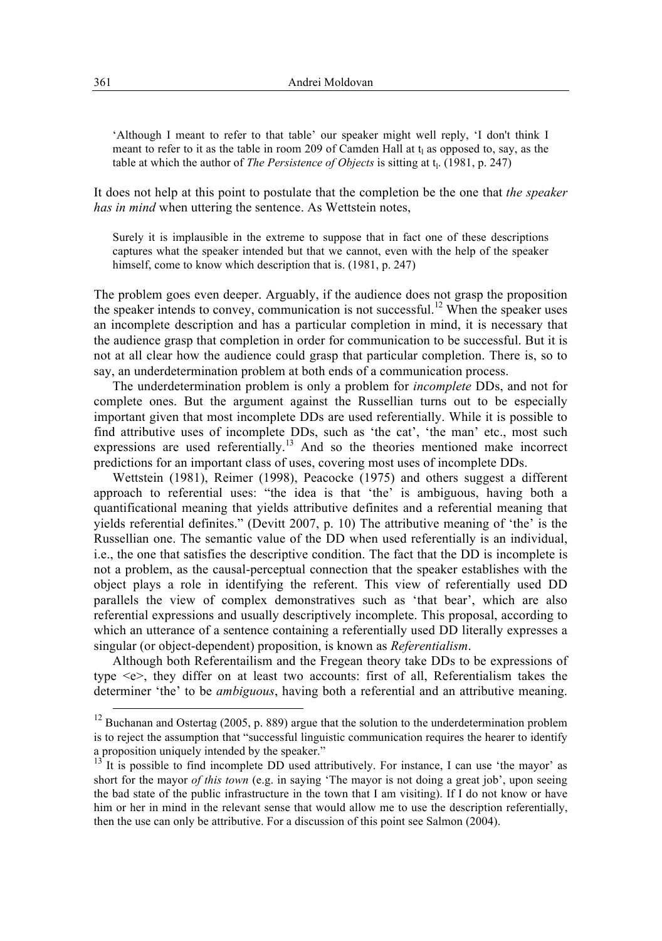'Although I meant to refer to that table' our speaker might well reply, 'I don't think I meant to refer to it as the table in room 209 of Camden Hall at  $t<sub>l</sub>$  as opposed to, say, as the table at which the author of *The Persistence of Objects* is sitting at t<sub>l</sub>. (1981, p. 247)

It does not help at this point to postulate that the completion be the one that *the speaker has in mind* when uttering the sentence. As Wettstein notes,

Surely it is implausible in the extreme to suppose that in fact one of these descriptions captures what the speaker intended but that we cannot, even with the help of the speaker himself, come to know which description that is. (1981, p. 247)

The problem goes even deeper. Arguably, if the audience does not grasp the proposition the speaker intends to convey, communication is not successful.<sup>12</sup> When the speaker uses an incomplete description and has a particular completion in mind, it is necessary that the audience grasp that completion in order for communication to be successful. But it is not at all clear how the audience could grasp that particular completion. There is, so to say, an underdetermination problem at both ends of a communication process.

The underdetermination problem is only a problem for *incomplete* DDs, and not for complete ones. But the argument against the Russellian turns out to be especially important given that most incomplete DDs are used referentially. While it is possible to find attributive uses of incomplete DDs, such as 'the cat', 'the man' etc., most such expressions are used referentially.<sup>13</sup> And so the theories mentioned make incorrect predictions for an important class of uses, covering most uses of incomplete DDs.

Wettstein (1981), Reimer (1998), Peacocke (1975) and others suggest a different approach to referential uses: "the idea is that 'the' is ambiguous, having both a quantificational meaning that yields attributive definites and a referential meaning that yields referential definites." (Devitt 2007, p. 10) The attributive meaning of 'the' is the Russellian one. The semantic value of the DD when used referentially is an individual, i.e., the one that satisfies the descriptive condition. The fact that the DD is incomplete is not a problem, as the causal-perceptual connection that the speaker establishes with the object plays a role in identifying the referent. This view of referentially used DD parallels the view of complex demonstratives such as 'that bear', which are also referential expressions and usually descriptively incomplete. This proposal, according to which an utterance of a sentence containing a referentially used DD literally expresses a singular (or object-dependent) proposition, is known as *Referentialism*.

Although both Referentailism and the Fregean theory take DDs to be expressions of type <e>, they differ on at least two accounts: first of all, Referentialism takes the determiner 'the' to be *ambiguous*, having both a referential and an attributive meaning.

 $12$  Buchanan and Ostertag (2005, p. 889) argue that the solution to the underdetermination problem is to reject the assumption that "successful linguistic communication requires the hearer to identify a proposition uniquely intended by the speaker."

 $13<sup>-13</sup>$  It is possible to find incomplete DD used attributively. For instance, I can use 'the mayor' as short for the mayor *of this town* (e.g. in saying 'The mayor is not doing a great job', upon seeing the bad state of the public infrastructure in the town that I am visiting). If I do not know or have him or her in mind in the relevant sense that would allow me to use the description referentially, then the use can only be attributive. For a discussion of this point see Salmon (2004).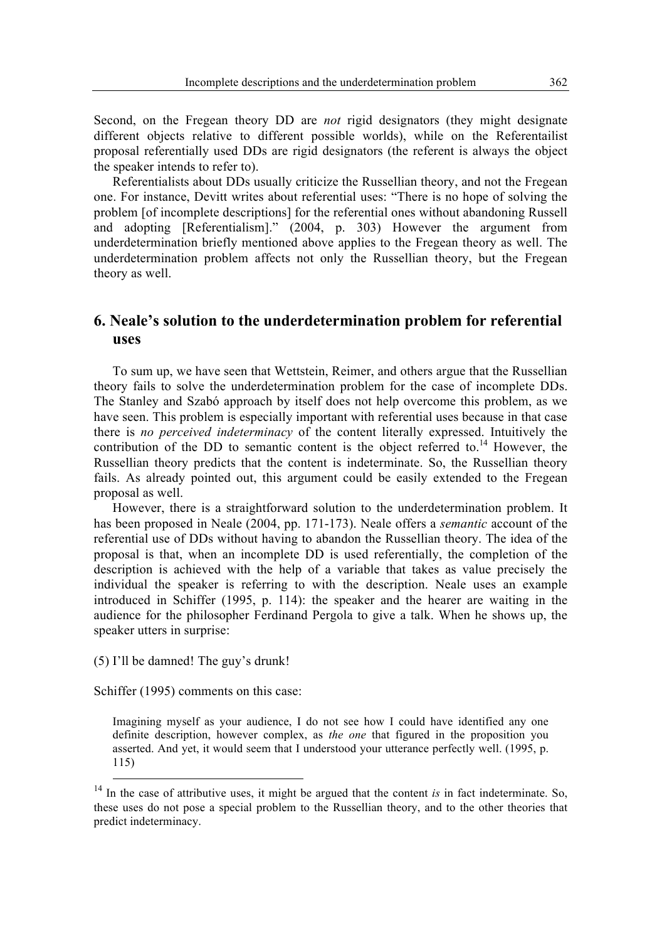Second, on the Fregean theory DD are *not* rigid designators (they might designate different objects relative to different possible worlds), while on the Referentailist proposal referentially used DDs are rigid designators (the referent is always the object the speaker intends to refer to).

Referentialists about DDs usually criticize the Russellian theory, and not the Fregean one. For instance, Devitt writes about referential uses: "There is no hope of solving the problem [of incomplete descriptions] for the referential ones without abandoning Russell and adopting [Referentialism]." (2004, p. 303) However the argument from underdetermination briefly mentioned above applies to the Fregean theory as well. The underdetermination problem affects not only the Russellian theory, but the Fregean theory as well.

## **6. Neale's solution to the underdetermination problem for referential uses**

To sum up, we have seen that Wettstein, Reimer, and others argue that the Russellian theory fails to solve the underdetermination problem for the case of incomplete DDs. The Stanley and Szabó approach by itself does not help overcome this problem, as we have seen. This problem is especially important with referential uses because in that case there is *no perceived indeterminacy* of the content literally expressed. Intuitively the contribution of the DD to semantic content is the object referred to.<sup>14</sup> However, the Russellian theory predicts that the content is indeterminate. So, the Russellian theory fails. As already pointed out, this argument could be easily extended to the Fregean proposal as well.

However, there is a straightforward solution to the underdetermination problem. It has been proposed in Neale (2004, pp. 171-173). Neale offers a *semantic* account of the referential use of DDs without having to abandon the Russellian theory. The idea of the proposal is that, when an incomplete DD is used referentially, the completion of the description is achieved with the help of a variable that takes as value precisely the individual the speaker is referring to with the description. Neale uses an example introduced in Schiffer (1995, p. 114): the speaker and the hearer are waiting in the audience for the philosopher Ferdinand Pergola to give a talk. When he shows up, the speaker utters in surprise:

(5) I'll be damned! The guy's drunk!

Schiffer (1995) comments on this case:

Imagining myself as your audience, I do not see how I could have identified any one definite description, however complex, as *the one* that figured in the proposition you asserted. And yet, it would seem that I understood your utterance perfectly well. (1995, p. 115)

<sup>&</sup>lt;sup>14</sup> In the case of attributive uses, it might be argued that the content *is* in fact indeterminate. So, these uses do not pose a special problem to the Russellian theory, and to the other theories that predict indeterminacy.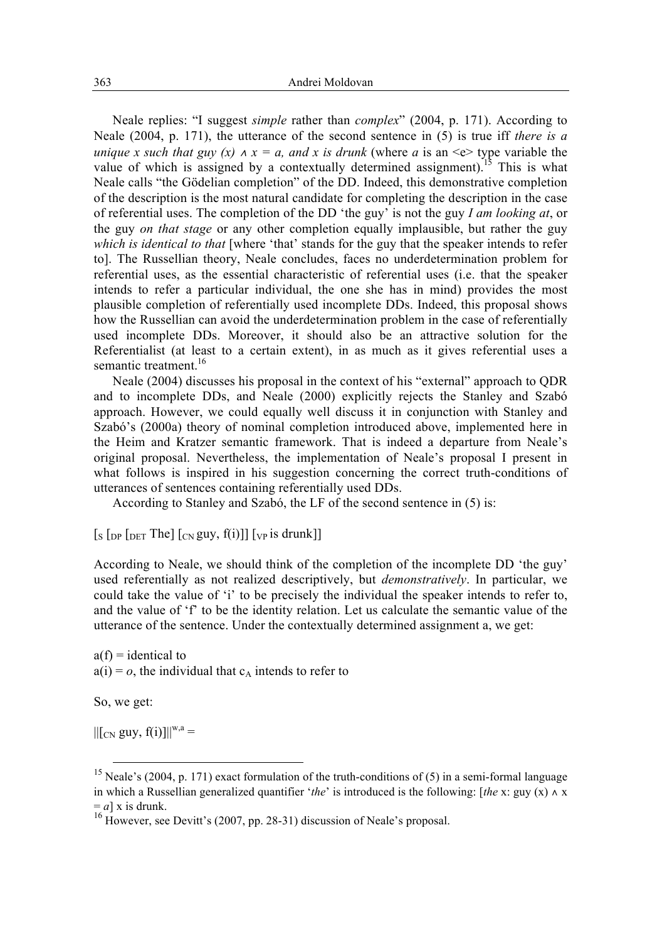Neale replies: "I suggest *simple* rather than *complex*" (2004, p. 171). According to Neale (2004, p. 171), the utterance of the second sentence in (5) is true iff *there is a unique x such that guy*  $(x) \wedge x = a$ *, and x is drunk* (where *a* is an <e> type variable the value of which is assigned by a contextually determined assignment).<sup>15</sup> This is what Neale calls "the Gödelian completion" of the DD. Indeed, this demonstrative completion of the description is the most natural candidate for completing the description in the case of referential uses. The completion of the DD 'the guy' is not the guy *I am looking at*, or the guy *on that stage* or any other completion equally implausible, but rather the guy *which is identical to that* [where 'that' stands for the guy that the speaker intends to refer to]. The Russellian theory, Neale concludes, faces no underdetermination problem for referential uses, as the essential characteristic of referential uses (i.e. that the speaker intends to refer a particular individual, the one she has in mind) provides the most plausible completion of referentially used incomplete DDs. Indeed, this proposal shows how the Russellian can avoid the underdetermination problem in the case of referentially used incomplete DDs. Moreover, it should also be an attractive solution for the Referentialist (at least to a certain extent), in as much as it gives referential uses a semantic treatment.<sup>16</sup>

Neale (2004) discusses his proposal in the context of his "external" approach to QDR and to incomplete DDs, and Neale (2000) explicitly rejects the Stanley and Szabó approach. However, we could equally well discuss it in conjunction with Stanley and Szabó's (2000a) theory of nominal completion introduced above, implemented here in the Heim and Kratzer semantic framework. That is indeed a departure from Neale's original proposal. Nevertheless, the implementation of Neale's proposal I present in what follows is inspired in his suggestion concerning the correct truth-conditions of utterances of sentences containing referentially used DDs.

According to Stanley and Szabó, the LF of the second sentence in (5) is:

 $\left[\frac{1}{\text{S}}\left[\frac{1}{\text{D}}\right]\left[\frac{1}{\text{D}}\right]\left[\frac{1}{\text{C}}\right]\left[\frac{1}{\text{C}}\right]\left[\frac{1}{\text{C}}\right]\left[\frac{1}{\text{C}}\right]\left[\frac{1}{\text{C}}\right]\left[\frac{1}{\text{C}}\right]\left[\frac{1}{\text{C}}\right]\left[\frac{1}{\text{C}}\right]\left[\frac{1}{\text{C}}\right]$ 

According to Neale, we should think of the completion of the incomplete DD 'the guy' used referentially as not realized descriptively, but *demonstratively*. In particular, we could take the value of 'i' to be precisely the individual the speaker intends to refer to, and the value of 'f' to be the identity relation. Let us calculate the semantic value of the utterance of the sentence. Under the contextually determined assignment a, we get:

 $a(f) =$ identical to  $a(i) = o$ , the individual that  $c_A$  intends to refer to

So, we get:

 $||[C_N guv, f(i)]||^{w,a} =$ 

<sup>&</sup>lt;sup>15</sup> Neale's (2004, p. 171) exact formulation of the truth-conditions of (5) in a semi-formal language in which a Russellian generalized quantifier '*the*' is introduced is the following: [*the* x: guy (x) ∧ x  $= a$ ] x is drunk.<br><sup>16</sup> However, see Devitt's (2007, pp. 28-31) discussion of Neale's proposal.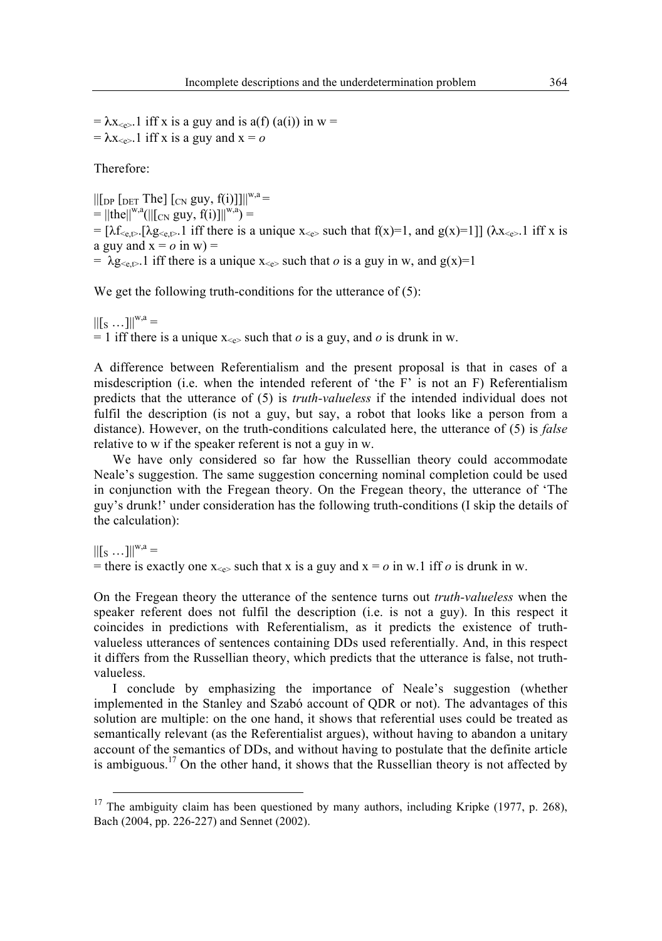$= \lambda x_{\leq \epsilon}$ . 1 iff x is a guy and is a(f) (a(i)) in w =  $= \lambda x_{\leq e}$ . 1 iff x is a guy and  $x = 0$ 

Therefore:

 $\|$ [DP [DET The] [CN guy, f(i)]] $\|$ <sup>w,a</sup> =  $=$   $||\text{the}||^{w,a}(||[C_N, guy, f(i)]]|^{w,a}) =$ =  $[\lambda f_{\leq \varepsilon}, \lambda g_{\leq \varepsilon}, 1]$  iff there is a unique  $x_{\leq \varepsilon}$  such that  $f(x)=1$ , and  $g(x)=1$ ]] ( $\lambda x_{\leq \varepsilon}$ ). iff x is a guy and  $x = o$  in w) = =  $\lambda$ g<sub><e,t></sub>.1 iff there is a unique x<sub><e></sub> such that *o* is a guy in w, and g(x)=1

We get the following truth-conditions for the utterance of (5):

 $||[s \dots]||^{w,a} =$  $= 1$  iff there is a unique  $x_{\leq e}$  such that *o* is a guy, and *o* is drunk in w.

A difference between Referentialism and the present proposal is that in cases of a misdescription (i.e. when the intended referent of 'the F' is not an F) Referentialism predicts that the utterance of (5) is *truth-valueless* if the intended individual does not fulfil the description (is not a guy, but say, a robot that looks like a person from a distance). However, on the truth-conditions calculated here, the utterance of (5) is *false* relative to w if the speaker referent is not a guy in w.

We have only considered so far how the Russellian theory could accommodate Neale's suggestion. The same suggestion concerning nominal completion could be used in conjunction with the Fregean theory. On the Fregean theory, the utterance of 'The guy's drunk!' under consideration has the following truth-conditions (I skip the details of the calculation):

 $||[s \dots]||^{w,a} =$ = there is exactly one  $x_{\leq e}$  such that x is a guy and  $x = o$  in w.1 iff *o* is drunk in w.

On the Fregean theory the utterance of the sentence turns out *truth-valueless* when the speaker referent does not fulfil the description (i.e. is not a guy). In this respect it coincides in predictions with Referentialism, as it predicts the existence of truthvalueless utterances of sentences containing DDs used referentially. And, in this respect it differs from the Russellian theory, which predicts that the utterance is false, not truthvalueless.

I conclude by emphasizing the importance of Neale's suggestion (whether implemented in the Stanley and Szabó account of QDR or not). The advantages of this solution are multiple: on the one hand, it shows that referential uses could be treated as semantically relevant (as the Referentialist argues), without having to abandon a unitary account of the semantics of DDs, and without having to postulate that the definite article is ambiguous.<sup>17</sup> On the other hand, it shows that the Russellian theory is not affected by

 $17$  The ambiguity claim has been questioned by many authors, including Kripke (1977, p. 268), Bach (2004, pp. 226-227) and Sennet (2002).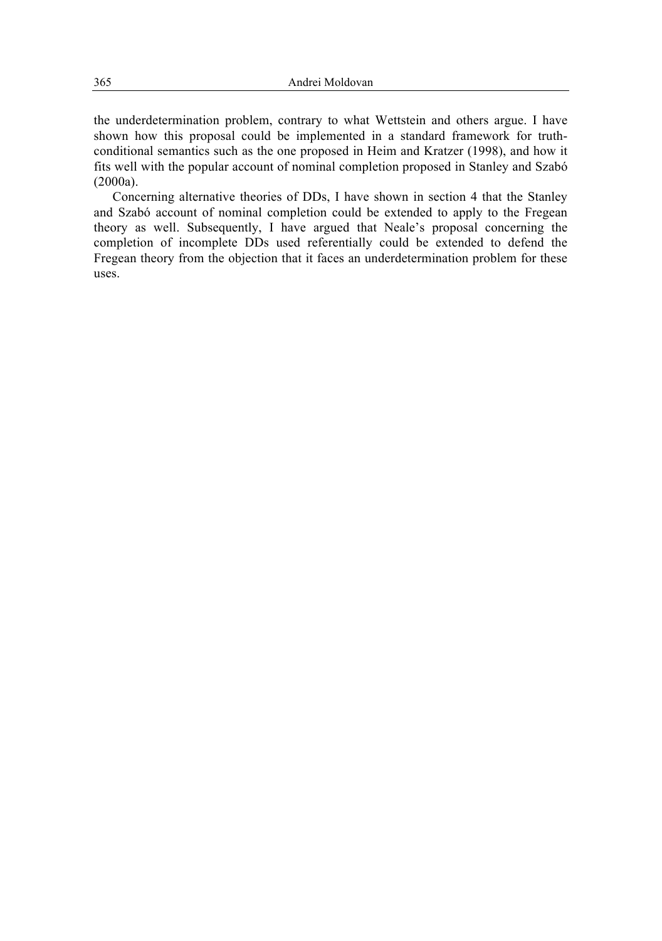the underdetermination problem, contrary to what Wettstein and others argue. I have shown how this proposal could be implemented in a standard framework for truthconditional semantics such as the one proposed in Heim and Kratzer (1998), and how it fits well with the popular account of nominal completion proposed in Stanley and Szabó (2000a).

Concerning alternative theories of DDs, I have shown in section 4 that the Stanley and Szabó account of nominal completion could be extended to apply to the Fregean theory as well. Subsequently, I have argued that Neale's proposal concerning the completion of incomplete DDs used referentially could be extended to defend the Fregean theory from the objection that it faces an underdetermination problem for these uses.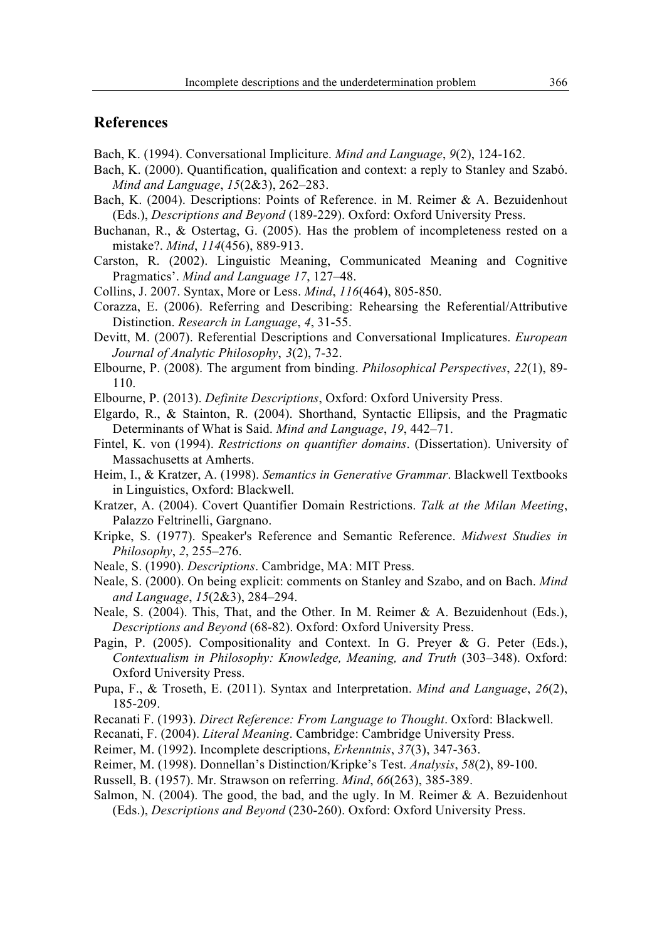## **References**

Bach, K. (1994). Conversational Impliciture. *Mind and Language*, *9*(2), 124-162.

- Bach, K. (2000). Quantification, qualification and context: a reply to Stanley and Szabó. *Mind and Language*, *15*(2&3), 262–283.
- Bach, K. (2004). Descriptions: Points of Reference. in M. Reimer & A. Bezuidenhout (Eds.), *Descriptions and Beyond* (189-229). Oxford: Oxford University Press.
- Buchanan, R., & Ostertag, G. (2005). Has the problem of incompleteness rested on a mistake?. *Mind*, *114*(456), 889-913.
- Carston, R. (2002). Linguistic Meaning, Communicated Meaning and Cognitive Pragmatics'. *Mind and Language 17*, 127–48.
- Collins, J. 2007. Syntax, More or Less. *Mind*, *116*(464), 805-850.
- Corazza, E. (2006). Referring and Describing: Rehearsing the Referential/Attributive Distinction. *Research in Language*, *4*, 31-55.
- Devitt, M. (2007). Referential Descriptions and Conversational Implicatures. *European Journal of Analytic Philosophy*, *3*(2), 7-32.
- Elbourne, P. (2008). The argument from binding. *Philosophical Perspectives*, *22*(1), 89- 110.

Elbourne, P. (2013). *Definite Descriptions*, Oxford: Oxford University Press.

Elgardo, R., & Stainton, R. (2004). Shorthand, Syntactic Ellipsis, and the Pragmatic Determinants of What is Said. *Mind and Language*, *19*, 442–71.

- Fintel, K. von (1994). *Restrictions on quantifier domains*. (Dissertation). University of Massachusetts at Amherts.
- Heim, I., & Kratzer, A. (1998). *Semantics in Generative Grammar*. Blackwell Textbooks in Linguistics, Oxford: Blackwell.
- Kratzer, A. (2004). Covert Quantifier Domain Restrictions. *Talk at the Milan Meeting*, Palazzo Feltrinelli, Gargnano.
- Kripke, S. (1977). Speaker's Reference and Semantic Reference. *Midwest Studies in Philosophy*, *2*, 255–276.
- Neale, S. (1990). *Descriptions*. Cambridge, MA: MIT Press.
- Neale, S. (2000). On being explicit: comments on Stanley and Szabo, and on Bach. *Mind and Language*, *15*(2&3), 284–294.
- Neale, S. (2004). This, That, and the Other. In M. Reimer & A. Bezuidenhout (Eds.), *Descriptions and Beyond* (68-82). Oxford: Oxford University Press.
- Pagin, P. (2005). Compositionality and Context. In G. Preyer & G. Peter (Eds.), *Contextualism in Philosophy: Knowledge, Meaning, and Truth* (303–348). Oxford: Oxford University Press.
- Pupa, F., & Troseth, E. (2011). Syntax and Interpretation. *Mind and Language*, *26*(2), 185-209.
- Recanati F. (1993). *Direct Reference: From Language to Thought*. Oxford: Blackwell.
- Recanati, F. (2004). *Literal Meaning*. Cambridge: Cambridge University Press.
- Reimer, M. (1992). Incomplete descriptions, *Erkenntnis*, *37*(3), 347-363.
- Reimer, M. (1998). Donnellan's Distinction/Kripke's Test. *Analysis*, *58*(2), 89-100.
- Russell, B. (1957). Mr. Strawson on referring. *Mind*, *66*(263), 385-389.
- Salmon, N. (2004). The good, the bad, and the ugly. In M. Reimer  $\&\,A$ . Bezuidenhout (Eds.), *Descriptions and Beyond* (230-260). Oxford: Oxford University Press.